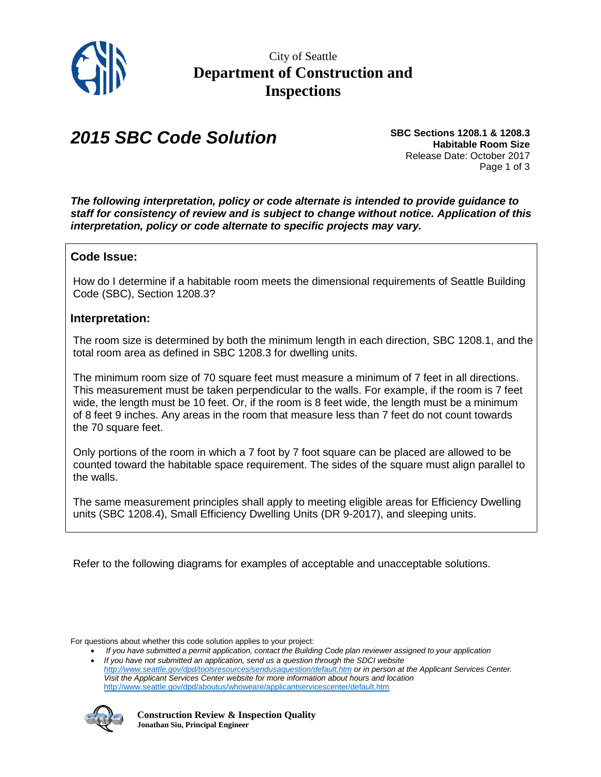

## *2015 SBC Code Solution*

**SBC Sections 1208.1 & 1208.3 Habitable Room Size** Release Date: October 2017 Page 1 of 3

*The following interpretation, policy or code alternate is intended to provide guidance to staff for consistency of review and is subject to change without notice. Application of this interpretation, policy or code alternate to specific projects may vary.*

## **Code Issue:**

How do I determine if a habitable room meets the dimensional requirements of Seattle Building Code (SBC), Section 1208.3?

## **Interpretation:**

The room size is determined by both the minimum length in each direction, SBC 1208.1, and the total room area as defined in SBC 1208.3 for dwelling units.

The minimum room size of 70 square feet must measure a minimum of 7 feet in all directions. This measurement must be taken perpendicular to the walls. For example, if the room is 7 feet wide, the length must be 10 feet. Or, if the room is 8 feet wide, the length must be a minimum of 8 feet 9 inches. Any areas in the room that measure less than 7 feet do not count towards the 70 square feet.

Only portions of the room in which a 7 foot by 7 foot square can be placed are allowed to be counted toward the habitable space requirement. The sides of the square must align parallel to the walls.

The same measurement principles shall apply to meeting eligible areas for Efficiency Dwelling units (SBC 1208.4), Small Efficiency Dwelling Units (DR 9-2017), and sleeping units.

Refer to the following diagrams for examples of acceptable and unacceptable solutions.

For questions about whether this code solution applies to your project:

- If you have submitted a permit application, contact the Building Code plan reviewer assigned to your application • *If you have not submitted an application, send us a question through the SDCI website*
- *<http://www.seattle.gov/dpd/toolsresources/sendusaquestion/default.htm> or in person at the Applicant Services Center. Visit the Applicant Services Center website for more information about hours and location*  <http://www.seattle.gov/dpd/aboutus/whoweare/applicantservicescenter/default.htm>

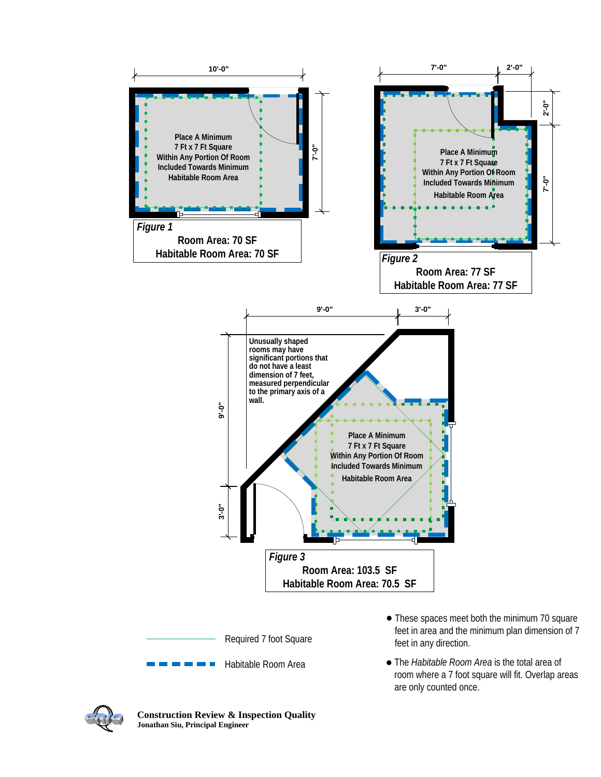

room where a 7 foot square will fit. Overlap areas are only counted once.



**Construction Review & Inspection Quality Jonathan Siu, Principal Engineer**